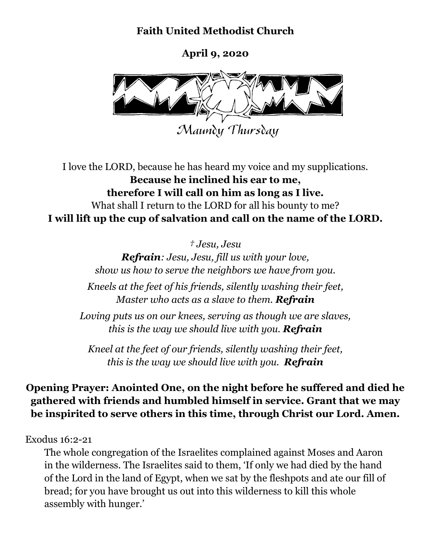## **Faith United Methodist Church**

**April 9, 2020**



I love the LORD, because he has heard my voice and my supplications. **Because he inclined his ear to me, therefore I will call on him as long as I live.** What shall I return to the LORD for all his bounty to me? **I will lift up the cup of salvation and call on the name of the LORD.**

*† Jesu, Jesu*

*Refrain: Jesu, Jesu, fill us with your love, show us how to serve the neighbors we have from you.*

*Kneels at the feet of his friends, silently washing their feet, Master who acts as a slave to them. Refrain*

*Loving puts us on our knees, serving as though we are slaves, this is the way we should live with you. Refrain*

*Kneel at the feet of our friends, silently washing their feet, this is the way we should live with you. Refrain*

## **Opening Prayer: Anointed One, on the night before he suffered and died he gathered with friends and humbled himself in service. Grant that we may be inspirited to serve others in this time, through Christ our Lord. Amen.**

Exodus 16:2-21

The whole congregation of the Israelites complained against Moses and Aaron in the wilderness. The Israelites said to them, 'If only we had died by the hand of the Lord in the land of Egypt, when we sat by the fleshpots and ate our fill of bread; for you have brought us out into this wilderness to kill this whole assembly with hunger.'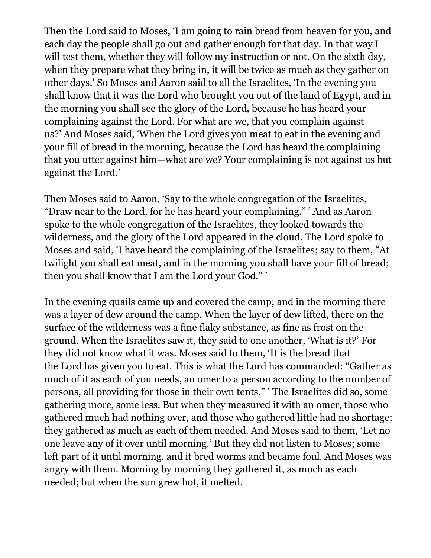Then the Lord said to Moses, 'I am going to rain bread from heaven for you, and each day the people shall go out and gather enough for that day. In that way I will test them, whether they will follow my instruction or not. On the sixth day, when they prepare what they bring in, it will be twice as much as they gather on other days.' So Moses and Aaron said to all the Israelites, 'In the evening you shall know that it was the Lord who brought you out of the land of Egypt, and in the morning you shall see the glory of the Lord, because he has heard your complaining against the Lord. For what are we, that you complain against us?' And Moses said, 'When the Lord gives you meat to eat in the evening and your fill of bread in the morning, because the Lord has heard the complaining that you utter against him—what are we? Your complaining is not against us but against the Lord.'

Then Moses said to Aaron, 'Say to the whole congregation of the Israelites, "Draw near to the Lord, for he has heard your complaining." ' And as Aaron spoke to the whole congregation of the Israelites, they looked towards the wilderness, and the glory of the Lord appeared in the cloud. The Lord spoke to Moses and said, 'I have heard the complaining of the Israelites; say to them, "At twilight you shall eat meat, and in the morning you shall have your fill of bread; then you shall know that I am the Lord your God." '

In the evening quails came up and covered the camp; and in the morning there was a layer of dew around the camp. When the layer of dew lifted, there on the surface of the wilderness was a fine flaky substance, as fine as frost on the ground. When the Israelites saw it, they said to one another, 'What is it?' For they did not know what it was. Moses said to them, 'It is the bread that the Lord has given you to eat. This is what the Lord has commanded: "Gather as much of it as each of you needs, an omer to a person according to the number of persons, all providing for those in their own tents." ' The Israelites did so, some gathering more, some less. But when they measured it with an omer, those who gathered much had nothing over, and those who gathered little had no shortage; they gathered as much as each of them needed. And Moses said to them, 'Let no one leave any of it over until morning.' But they did not listen to Moses; some left part of it until morning, and it bred worms and became foul. And Moses was angry with them. Morning by morning they gathered it, as much as each needed; but when the sun grew hot, it melted.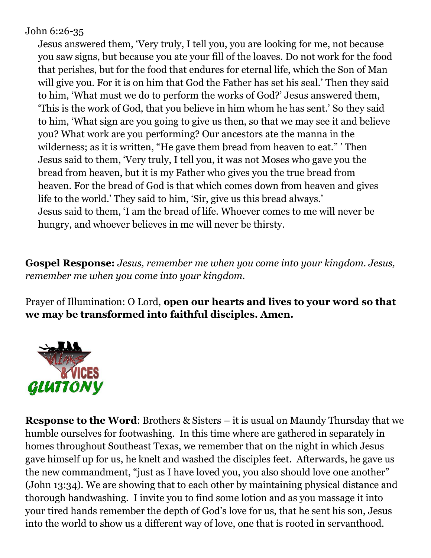John 6:26-35

Jesus answered them, 'Very truly, I tell you, you are looking for me, not because you saw signs, but because you ate your fill of the loaves. Do not work for the food that perishes, but for the food that endures for eternal life, which the Son of Man will give you. For it is on him that God the Father has set his seal.' Then they said to him, 'What must we do to perform the works of God?' Jesus answered them, 'This is the work of God, that you believe in him whom he has sent.' So they said to him, 'What sign are you going to give us then, so that we may see it and believe you? What work are you performing? Our ancestors ate the manna in the wilderness; as it is written, "He gave them bread from heaven to eat." ' Then Jesus said to them, 'Very truly, I tell you, it was not Moses who gave you the bread from heaven, but it is my Father who gives you the true bread from heaven. For the bread of God is that which comes down from heaven and gives life to the world.' They said to him, 'Sir, give us this bread always.' Jesus said to them, 'I am the bread of life. Whoever comes to me will never be hungry, and whoever believes in me will never be thirsty.

**Gospel Response:** *Jesus, remember me when you come into your kingdom. Jesus, remember me when you come into your kingdom.*

Prayer of Illumination: O Lord, **open our hearts and lives to your word so that we may be transformed into faithful disciples. Amen.**



**Response to the Word**: Brothers & Sisters – it is usual on Maundy Thursday that we humble ourselves for footwashing. In this time where are gathered in separately in homes throughout Southeast Texas, we remember that on the night in which Jesus gave himself up for us, he knelt and washed the disciples feet. Afterwards, he gave us the new commandment, "just as I have loved you, you also should love one another" (John 13:34). We are showing that to each other by maintaining physical distance and thorough handwashing. I invite you to find some lotion and as you massage it into your tired hands remember the depth of God's love for us, that he sent his son, Jesus into the world to show us a different way of love, one that is rooted in servanthood.